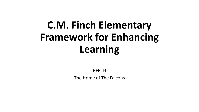# **C.M. Finch Elementary Framework for Enhancing Learning**

R+R=H The Home of The Falcons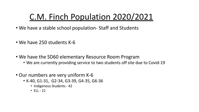# C.M. Finch Population 2020/2021

- We have a stable school population- Staff and Students
- We have 250 students K-6
- We have the SD60 elementary Resource Room Program
	- We are currently providing service to two students off site due to Covid-19
- Our numbers are very uniform K-6
	- K-40, G1-31, G2-34, G3-39, G4-35, G6-36
		- Indigenous Students 42
		- $•$  FII 21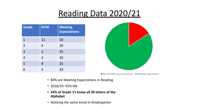# Reading Data 2020/21

| <b>Grade</b>   | <b>NYM</b>     | <b>Meeting</b><br><b>Expectations</b> |
|----------------|----------------|---------------------------------------|
| $\mathbf{1}$   | 11             | 20                                    |
| $\overline{2}$ | 4              | 29                                    |
| 3              | $\overline{2}$ | 35                                    |
| $\overline{4}$ | 3              | 30                                    |
| $\overline{5}$ | 8              | 25                                    |
|                | 4              | 29                                    |



Not Yet Meeting Expectations Meeting Expectations

- 84% are Meeting Expectations in Reading
- 2018/19- 92% ME
- **• 24% of Grade 1's know all 26 letters of the Alphabet**
- *• Noticing the same trend in Kindergarten*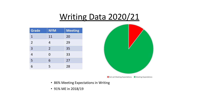### Writing Data 2020/21

| <b>Grade</b>   | <b>NYM</b>     | <b>Meeting</b> |
|----------------|----------------|----------------|
| $\mathbf{1}$   | 11             | 20             |
| $\overline{2}$ | 4              | 29             |
| $\overline{3}$ | $\overline{2}$ | 35             |
| 4              | $\Omega$       | 33             |
| 5              | 6              | 27             |
| 6              | 5              | 28             |



- 86% Meeting Expectations in Writing
- 91% ME in 2018/19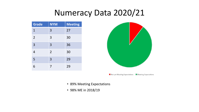### Numeracy Data 2020/21

| <b>Grade</b>   | <b>NYM</b>     | <b>Meeting</b> |
|----------------|----------------|----------------|
| $\mathbf{1}$   | 3              | 27             |
| $\overline{2}$ | 3              | 30             |
| $\overline{3}$ | 3              | 36             |
| $\overline{4}$ | $\overline{2}$ | 30             |
| 5              | 3              | 29             |
| 6              | 7              | 29             |



Not yet Meeting Expectations **H** Meeting Expectations

- 89% Meeting Expectations
- 98% ME in 2018/19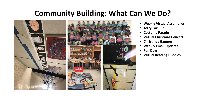### **Community Building: What Can We Do?**



- **• Weekly Virtual Assemblies**
- **• Terry Fox Run**
- **• Costume Parade**
- **• Virtual Christmas Concert**
- **• Christmas Hamper**
- **• Weekly Email Updates**
- **• Fun Days**
- **• Virtual Reading Buddies**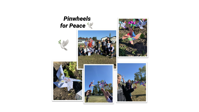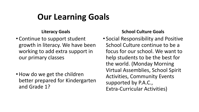# **Our Learning Goals**

#### **Literacy Goals**

- Continue to support student growth in literacy. We have been working to add extra support in our primary classes
- How do we get the children better prepared for Kindergarten and Grade 1?

### **School Culture Goals**

• Social Responsibility and Positive School Culture continue to be a focus for our school. We want to help students to be the best for the world. (Monday Morning Virtual Assemblies, School Spirit Activities, Community Events supported by P.A.C., Extra-Curricular Activities)